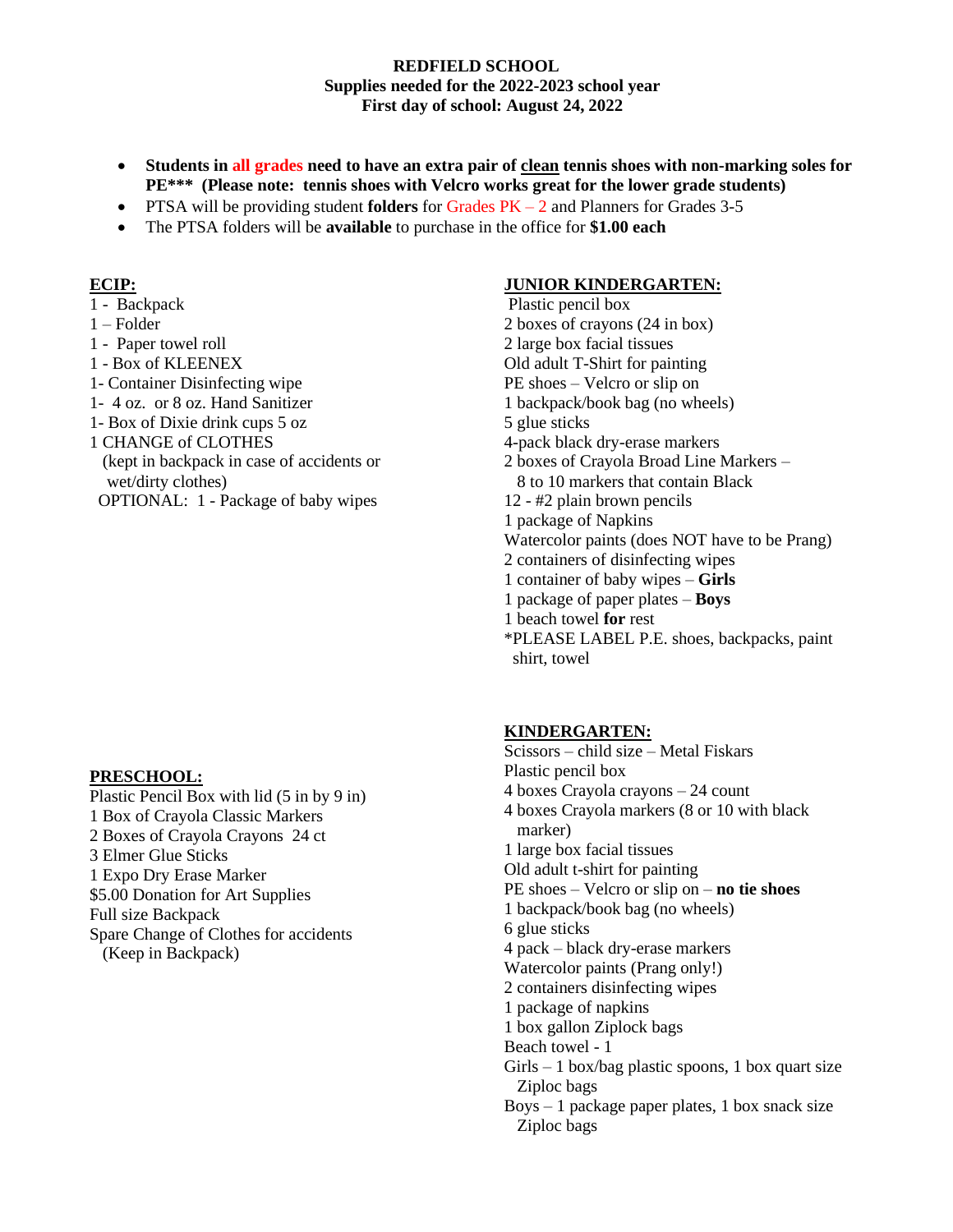#### **REDFIELD SCHOOL Supplies needed for the 2022-2023 school year First day of school: August 24, 2022**

- **Students in all grades need to have an extra pair of clean tennis shoes with non-marking soles for PE\*\*\* (Please note: tennis shoes with Velcro works great for the lower grade students)**
- PTSA will be providing student **folders** for Grades PK 2 and Planners for Grades 3-5
- The PTSA folders will be **available** to purchase in the office for **\$1.00 each**

### **ECIP:**

- 1 Backpack
- 1 Folder
- 1 Paper towel roll
- 1 Box of KLEENEX
- 1- Container Disinfecting wipe
- 1- 4 oz. or 8 oz. Hand Sanitizer
- 1- Box of Dixie drink cups 5 oz
- 1 CHANGE of CLOTHES
- (kept in backpack in case of accidents or wet/dirty clothes)
- OPTIONAL: 1 Package of baby wipes

### **PRESCHOOL:**

Plastic Pencil Box with lid (5 in by 9 in) 1 Box of Crayola Classic Markers 2 Boxes of Crayola Crayons 24 ct 3 Elmer Glue Sticks 1 Expo Dry Erase Marker \$5.00 Donation for Art Supplies Full size Backpack Spare Change of Clothes for accidents (Keep in Backpack)

### **JUNIOR KINDERGARTEN:**

Plastic pencil box 2 boxes of crayons (24 in box) 2 large box facial tissues Old adult T-Shirt for painting PE shoes – Velcro or slip on 1 backpack/book bag (no wheels) 5 glue sticks 4-pack black dry-erase markers 2 boxes of Crayola Broad Line Markers – 8 to 10 markers that contain Black 12 - #2 plain brown pencils 1 package of Napkins Watercolor paints (does NOT have to be Prang) 2 containers of disinfecting wipes 1 container of baby wipes – **Girls** 1 package of paper plates – **Boys** 1 beach towel **for** rest \*PLEASE LABEL P.E. shoes, backpacks, paint shirt, towel

## **KINDERGARTEN:**

Scissors – child size – Metal Fiskars Plastic pencil box 4 boxes Crayola crayons – 24 count 4 boxes Crayola markers (8 or 10 with black marker) 1 large box facial tissues Old adult t-shirt for painting PE shoes – Velcro or slip on – **no tie shoes** 1 backpack/book bag (no wheels) 6 glue sticks 4 pack – black dry-erase markers Watercolor paints (Prang only!) 2 containers disinfecting wipes 1 package of napkins 1 box gallon Ziplock bags Beach towel - 1  $Girls - 1$  box/bag plastic spoons, 1 box quart size Ziploc bags  $Boys - 1$  package paper plates, 1 box snack size Ziploc bags